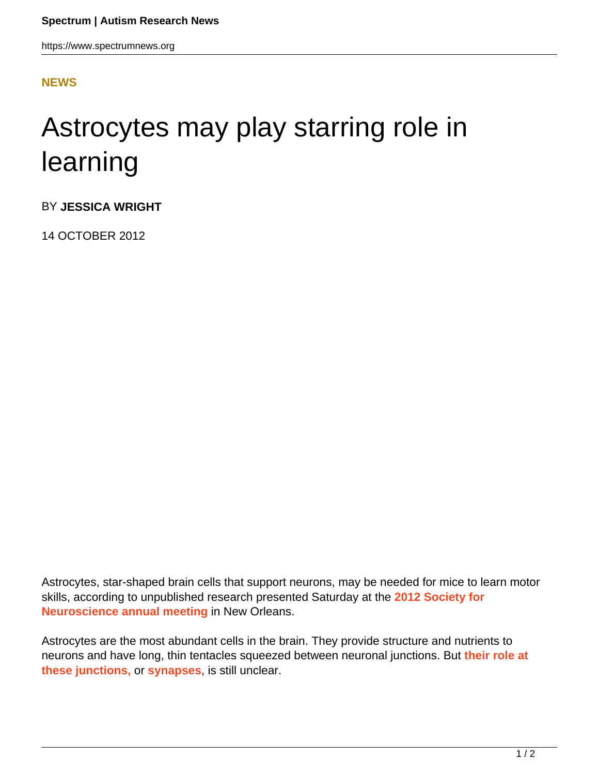https://www.spectrumnews.org

## **[NEWS](HTTPS://WWW.SPECTRUMNEWS.ORG/NEWS/)**

## Astrocytes may play starring role in learning

BY **JESSICA WRIGHT**

14 OCTOBER 2012

Astrocytes, star-shaped brain cells that support neurons, may be needed for mice to learn motor skills, according to unpublished research presented Saturday at the **2012 Society for Neuroscience annual meeting** in New Orleans.

Astrocytes are the most abundant cells in the brain. They provide structure and nutrients to neurons and have long, thin tentacles squeezed between neuronal junctions. But **their role at these junctions,** or **synapses**, is still unclear.